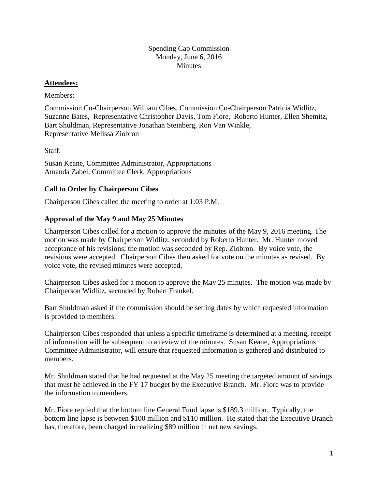### Spending Cap Commission Monday, June 6, 2016 **Minutes**

#### **Attendees:**

### Members:

Commission Co-Chairperson William Cibes, Commission Co-Chairperson Patricia Widlitz, Suzanne Bates, Representative Christopher Davis, Tom Fiore, Roberto Hunter, Ellen Shemitz, Bart Shuldman, Representative Jonathan Steinberg, Ron Van Winkle, Representative Melissa Ziobron

Staff:

Susan Keane, Committee Administrator, Appropriations Amanda Zabel, Committee Clerk, Appropriations

## **Call to Order by Chairperson Cibes**

Chairperson Cibes called the meeting to order at 1:03 P.M.

# **Approval of the May 9 and May 25 Minutes**

Chairperson Cibes called for a motion to approve the minutes of the May 9, 2016 meeting. The motion was made by Chairperson Widlitz, seconded by Roberto Hunter. Mr. Hunter moved acceptance of his revisions; the motion was seconded by Rep. Ziobron. By voice vote, the revisions were accepted. Chairperson Cibes then asked for vote on the minutes as revised. By voice vote, the revised minutes were accepted.

Chairperson Cibes asked for a motion to approve the May 25 minutes. The motion was made by Chairperson Widlitz, seconded by Robert Frankel.

Bart Shuldman asked if the commission should be setting dates by which requested information is provided to members.

Chairperson Cibes responded that unless a specific timeframe is determined at a meeting, receipt of information will be subsequent to a review of the minutes. Susan Keane, Appropriations Committee Administrator, will ensure that requested information is gathered and distributed to members.

Mr. Shuldman stated that he had requested at the May 25 meeting the targeted amount of savings that must be achieved in the FY 17 budget by the Executive Branch. Mr. Fiore was to provide the information to members.

Mr. Fiore replied that the bottom line General Fund lapse is \$189.3 million. Typically, the bottom line lapse is between \$100 million and \$110 million. He stated that the Executive Branch has, therefore, been charged in realizing \$89 million in net new savings.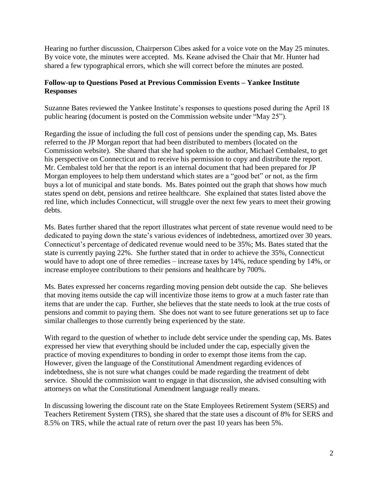Hearing no further discussion, Chairperson Cibes asked for a voice vote on the May 25 minutes. By voice vote, the minutes were accepted. Ms. Keane advised the Chair that Mr. Hunter had shared a few typographical errors, which she will correct before the minutes are posted.

# **Follow-up to Questions Posed at Previous Commission Events – Yankee Institute Responses**

Suzanne Bates reviewed the Yankee Institute's responses to questions posed during the April 18 public hearing (document is posted on the Commission website under "May 25").

Regarding the issue of including the full cost of pensions under the spending cap, Ms. Bates referred to the JP Morgan report that had been distributed to members (located on the Commission website). She shared that she had spoken to the author, Michael Cembalest, to get his perspective on Connecticut and to receive his permission to copy and distribute the report. Mr. Cembalest told her that the report is an internal document that had been prepared for JP Morgan employees to help them understand which states are a "good bet" or not, as the firm buys a lot of municipal and state bonds. Ms. Bates pointed out the graph that shows how much states spend on debt, pensions and retiree healthcare. She explained that states listed above the red line, which includes Connecticut, will struggle over the next few years to meet their growing debts.

Ms. Bates further shared that the report illustrates what percent of state revenue would need to be dedicated to paying down the state's various evidences of indebtedness, amortized over 30 years. Connecticut's percentage of dedicated revenue would need to be 35%; Ms. Bates stated that the state is currently paying 22%. She further stated that in order to achieve the 35%, Connecticut would have to adopt one of three remedies – increase taxes by 14%, reduce spending by 14%, or increase employee contributions to their pensions and healthcare by 700%.

Ms. Bates expressed her concerns regarding moving pension debt outside the cap. She believes that moving items outside the cap will incentivize those items to grow at a much faster rate than items that are under the cap. Further, she believes that the state needs to look at the true costs of pensions and commit to paying them. She does not want to see future generations set up to face similar challenges to those currently being experienced by the state.

With regard to the question of whether to include debt service under the spending cap, Ms. Bates expressed her view that everything should be included under the cap, especially given the practice of moving expenditures to bonding in order to exempt those items from the cap. However, given the language of the Constitutional Amendment regarding evidences of indebtedness, she is not sure what changes could be made regarding the treatment of debt service. Should the commission want to engage in that discussion, she advised consulting with attorneys on what the Constitutional Amendment language really means.

In discussing lowering the discount rate on the State Employees Retirement System (SERS) and Teachers Retirement System (TRS), she shared that the state uses a discount of 8% for SERS and 8.5% on TRS, while the actual rate of return over the past 10 years has been 5%.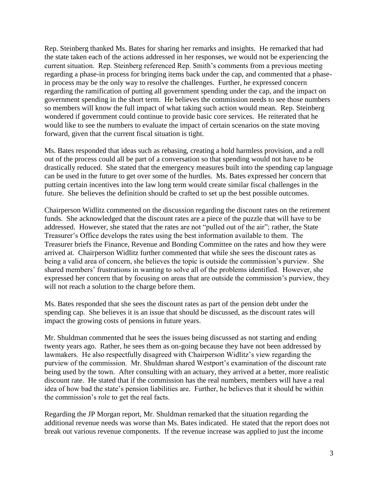Rep. Steinberg thanked Ms. Bates for sharing her remarks and insights. He remarked that had the state taken each of the actions addressed in her responses, we would not be experiencing the current situation. Rep. Steinberg referenced Rep. Smith's comments from a previous meeting regarding a phase-in process for bringing items back under the cap, and commented that a phasein process may be the only way to resolve the challenges. Further, he expressed concern regarding the ramification of putting all government spending under the cap, and the impact on government spending in the short term. He believes the commission needs to see those numbers so members will know the full impact of what taking such action would mean. Rep. Steinberg wondered if government could continue to provide basic core services. He reiterated that he would like to see the numbers to evaluate the impact of certain scenarios on the state moving forward, given that the current fiscal situation is tight.

Ms. Bates responded that ideas such as rebasing, creating a hold harmless provision, and a roll out of the process could all be part of a conversation so that spending would not have to be drastically reduced. She stated that the emergency measures built into the spending cap language can be used in the future to get over some of the hurdles. Ms. Bates expressed her concern that putting certain incentives into the law long term would create similar fiscal challenges in the future. She believes the definition should be crafted to set up the best possible outcomes.

Chairperson Widlitz commented on the discussion regarding the discount rates on the retirement funds. She acknowledged that the discount rates are a piece of the puzzle that will have to be addressed. However, she stated that the rates are not "pulled out of the air"; rather, the State Treasurer's Office develops the rates using the best information available to them. The Treasurer briefs the Finance, Revenue and Bonding Committee on the rates and how they were arrived at. Chairperson Widlitz further commented that while she sees the discount rates as being a valid area of concern, she believes the topic is outside the commission's purview. She shared members' frustrations in wanting to solve all of the problems identified. However, she expressed her concern that by focusing on areas that are outside the commission's purview, they will not reach a solution to the charge before them.

Ms. Bates responded that she sees the discount rates as part of the pension debt under the spending cap. She believes it is an issue that should be discussed, as the discount rates will impact the growing costs of pensions in future years.

Mr. Shuldman commented that he sees the issues being discussed as not starting and ending twenty years ago. Rather, he sees them as on-going because they have not been addressed by lawmakers. He also respectfully disagreed with Chairperson Widlitz's view regarding the purview of the commission. Mr. Shuldman shared Westport's examination of the discount rate being used by the town. After consulting with an actuary, they arrived at a better, more realistic discount rate. He stated that if the commission has the real numbers, members will have a real idea of how bad the state's pension liabilities are. Further, he believes that it should be within the commission's role to get the real facts.

Regarding the JP Morgan report, Mr. Shuldman remarked that the situation regarding the additional revenue needs was worse than Ms. Bates indicated. He stated that the report does not break out various revenue components. If the revenue increase was applied to just the income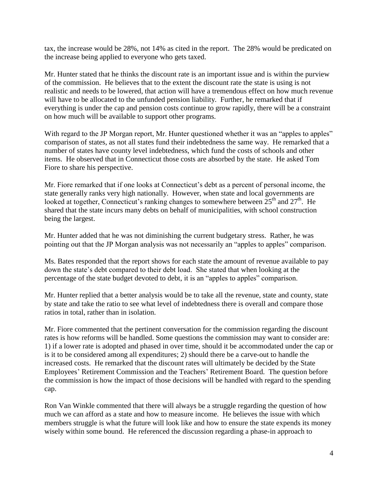tax, the increase would be 28%, not 14% as cited in the report. The 28% would be predicated on the increase being applied to everyone who gets taxed.

Mr. Hunter stated that he thinks the discount rate is an important issue and is within the purview of the commission. He believes that to the extent the discount rate the state is using is not realistic and needs to be lowered, that action will have a tremendous effect on how much revenue will have to be allocated to the unfunded pension liability. Further, he remarked that if everything is under the cap and pension costs continue to grow rapidly, there will be a constraint on how much will be available to support other programs.

With regard to the JP Morgan report, Mr. Hunter questioned whether it was an "apples to apples" comparison of states, as not all states fund their indebtedness the same way. He remarked that a number of states have county level indebtedness, which fund the costs of schools and other items. He observed that in Connecticut those costs are absorbed by the state. He asked Tom Fiore to share his perspective.

Mr. Fiore remarked that if one looks at Connecticut's debt as a percent of personal income, the state generally ranks very high nationally. However, when state and local governments are looked at together, Connecticut's ranking changes to somewhere between  $25<sup>th</sup>$  and  $27<sup>th</sup>$ . He shared that the state incurs many debts on behalf of municipalities, with school construction being the largest.

Mr. Hunter added that he was not diminishing the current budgetary stress. Rather, he was pointing out that the JP Morgan analysis was not necessarily an "apples to apples" comparison.

Ms. Bates responded that the report shows for each state the amount of revenue available to pay down the state's debt compared to their debt load. She stated that when looking at the percentage of the state budget devoted to debt, it is an "apples to apples" comparison.

Mr. Hunter replied that a better analysis would be to take all the revenue, state and county, state by state and take the ratio to see what level of indebtedness there is overall and compare those ratios in total, rather than in isolation.

Mr. Fiore commented that the pertinent conversation for the commission regarding the discount rates is how reforms will be handled. Some questions the commission may want to consider are: 1) if a lower rate is adopted and phased in over time, should it be accommodated under the cap or is it to be considered among all expenditures; 2) should there be a carve-out to handle the increased costs. He remarked that the discount rates will ultimately be decided by the State Employees' Retirement Commission and the Teachers' Retirement Board. The question before the commission is how the impact of those decisions will be handled with regard to the spending cap.

Ron Van Winkle commented that there will always be a struggle regarding the question of how much we can afford as a state and how to measure income. He believes the issue with which members struggle is what the future will look like and how to ensure the state expends its money wisely within some bound. He referenced the discussion regarding a phase-in approach to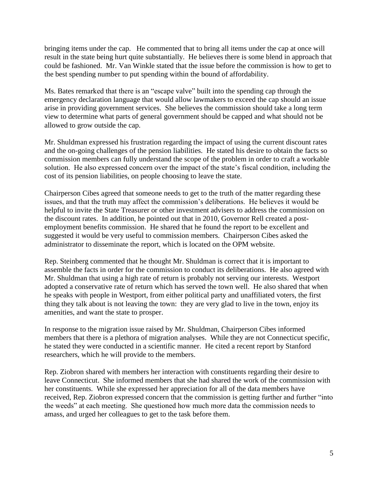bringing items under the cap. He commented that to bring all items under the cap at once will result in the state being hurt quite substantially. He believes there is some blend in approach that could be fashioned. Mr. Van Winkle stated that the issue before the commission is how to get to the best spending number to put spending within the bound of affordability.

Ms. Bates remarked that there is an "escape valve" built into the spending cap through the emergency declaration language that would allow lawmakers to exceed the cap should an issue arise in providing government services. She believes the commission should take a long term view to determine what parts of general government should be capped and what should not be allowed to grow outside the cap.

Mr. Shuldman expressed his frustration regarding the impact of using the current discount rates and the on-going challenges of the pension liabilities. He stated his desire to obtain the facts so commission members can fully understand the scope of the problem in order to craft a workable solution. He also expressed concern over the impact of the state's fiscal condition, including the cost of its pension liabilities, on people choosing to leave the state.

Chairperson Cibes agreed that someone needs to get to the truth of the matter regarding these issues, and that the truth may affect the commission's deliberations. He believes it would be helpful to invite the State Treasurer or other investment advisers to address the commission on the discount rates. In addition, he pointed out that in 2010, Governor Rell created a postemployment benefits commission. He shared that he found the report to be excellent and suggested it would be very useful to commission members. Chairperson Cibes asked the administrator to disseminate the report, which is located on the OPM website.

Rep. Steinberg commented that he thought Mr. Shuldman is correct that it is important to assemble the facts in order for the commission to conduct its deliberations. He also agreed with Mr. Shuldman that using a high rate of return is probably not serving our interests. Westport adopted a conservative rate of return which has served the town well. He also shared that when he speaks with people in Westport, from either political party and unaffiliated voters, the first thing they talk about is not leaving the town: they are very glad to live in the town, enjoy its amenities, and want the state to prosper.

In response to the migration issue raised by Mr. Shuldman, Chairperson Cibes informed members that there is a plethora of migration analyses. While they are not Connecticut specific, he stated they were conducted in a scientific manner. He cited a recent report by Stanford researchers, which he will provide to the members.

Rep. Ziobron shared with members her interaction with constituents regarding their desire to leave Connecticut. She informed members that she had shared the work of the commission with her constituents. While she expressed her appreciation for all of the data members have received, Rep. Ziobron expressed concern that the commission is getting further and further "into the weeds" at each meeting. She questioned how much more data the commission needs to amass, and urged her colleagues to get to the task before them.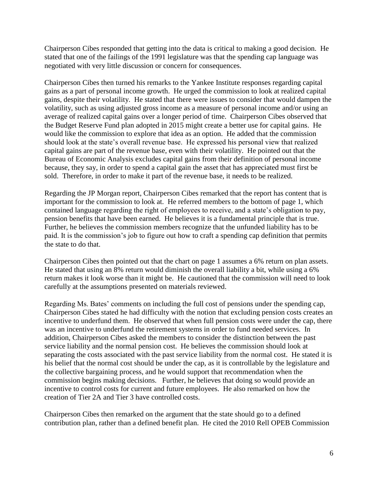Chairperson Cibes responded that getting into the data is critical to making a good decision. He stated that one of the failings of the 1991 legislature was that the spending cap language was negotiated with very little discussion or concern for consequences.

Chairperson Cibes then turned his remarks to the Yankee Institute responses regarding capital gains as a part of personal income growth. He urged the commission to look at realized capital gains, despite their volatility. He stated that there were issues to consider that would dampen the volatility, such as using adjusted gross income as a measure of personal income and/or using an average of realized capital gains over a longer period of time. Chairperson Cibes observed that the Budget Reserve Fund plan adopted in 2015 might create a better use for capital gains. He would like the commission to explore that idea as an option. He added that the commission should look at the state's overall revenue base. He expressed his personal view that realized capital gains are part of the revenue base, even with their volatility. He pointed out that the Bureau of Economic Analysis excludes capital gains from their definition of personal income because, they say, in order to spend a capital gain the asset that has appreciated must first be sold. Therefore, in order to make it part of the revenue base, it needs to be realized.

Regarding the JP Morgan report, Chairperson Cibes remarked that the report has content that is important for the commission to look at. He referred members to the bottom of page 1, which contained language regarding the right of employees to receive, and a state's obligation to pay, pension benefits that have been earned. He believes it is a fundamental principle that is true. Further, he believes the commission members recognize that the unfunded liability has to be paid. It is the commission's job to figure out how to craft a spending cap definition that permits the state to do that.

Chairperson Cibes then pointed out that the chart on page 1 assumes a 6% return on plan assets. He stated that using an 8% return would diminish the overall liability a bit, while using a 6% return makes it look worse than it might be. He cautioned that the commission will need to look carefully at the assumptions presented on materials reviewed.

Regarding Ms. Bates' comments on including the full cost of pensions under the spending cap, Chairperson Cibes stated he had difficulty with the notion that excluding pension costs creates an incentive to underfund them. He observed that when full pension costs were under the cap, there was an incentive to underfund the retirement systems in order to fund needed services. In addition, Chairperson Cibes asked the members to consider the distinction between the past service liability and the normal pension cost. He believes the commission should look at separating the costs associated with the past service liability from the normal cost. He stated it is his belief that the normal cost should be under the cap, as it is controllable by the legislature and the collective bargaining process, and he would support that recommendation when the commission begins making decisions. Further, he believes that doing so would provide an incentive to control costs for current and future employees. He also remarked on how the creation of Tier 2A and Tier 3 have controlled costs.

Chairperson Cibes then remarked on the argument that the state should go to a defined contribution plan, rather than a defined benefit plan. He cited the 2010 Rell OPEB Commission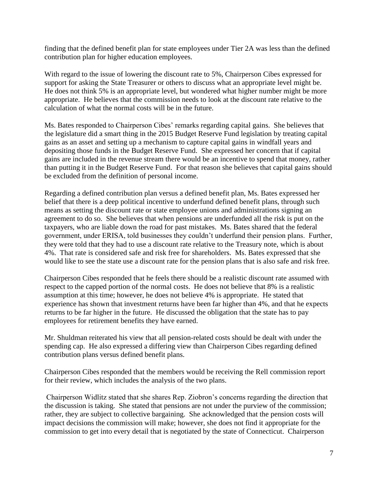finding that the defined benefit plan for state employees under Tier 2A was less than the defined contribution plan for higher education employees.

With regard to the issue of lowering the discount rate to 5%, Chairperson Cibes expressed for support for asking the State Treasurer or others to discuss what an appropriate level might be. He does not think 5% is an appropriate level, but wondered what higher number might be more appropriate. He believes that the commission needs to look at the discount rate relative to the calculation of what the normal costs will be in the future.

Ms. Bates responded to Chairperson Cibes' remarks regarding capital gains. She believes that the legislature did a smart thing in the 2015 Budget Reserve Fund legislation by treating capital gains as an asset and setting up a mechanism to capture capital gains in windfall years and depositing those funds in the Budget Reserve Fund. She expressed her concern that if capital gains are included in the revenue stream there would be an incentive to spend that money, rather than putting it in the Budget Reserve Fund. For that reason she believes that capital gains should be excluded from the definition of personal income.

Regarding a defined contribution plan versus a defined benefit plan, Ms. Bates expressed her belief that there is a deep political incentive to underfund defined benefit plans, through such means as setting the discount rate or state employee unions and administrations signing an agreement to do so. She believes that when pensions are underfunded all the risk is put on the taxpayers, who are liable down the road for past mistakes. Ms. Bates shared that the federal government, under ERISA, told businesses they couldn't underfund their pension plans. Further, they were told that they had to use a discount rate relative to the Treasury note, which is about 4%. That rate is considered safe and risk free for shareholders. Ms. Bates expressed that she would like to see the state use a discount rate for the pension plans that is also safe and risk free.

Chairperson Cibes responded that he feels there should be a realistic discount rate assumed with respect to the capped portion of the normal costs. He does not believe that 8% is a realistic assumption at this time; however, he does not believe 4% is appropriate. He stated that experience has shown that investment returns have been far higher than 4%, and that he expects returns to be far higher in the future. He discussed the obligation that the state has to pay employees for retirement benefits they have earned.

Mr. Shuldman reiterated his view that all pension-related costs should be dealt with under the spending cap. He also expressed a differing view than Chairperson Cibes regarding defined contribution plans versus defined benefit plans.

Chairperson Cibes responded that the members would be receiving the Rell commission report for their review, which includes the analysis of the two plans.

Chairperson Widlitz stated that she shares Rep. Ziobron's concerns regarding the direction that the discussion is taking. She stated that pensions are not under the purview of the commission; rather, they are subject to collective bargaining. She acknowledged that the pension costs will impact decisions the commission will make; however, she does not find it appropriate for the commission to get into every detail that is negotiated by the state of Connecticut. Chairperson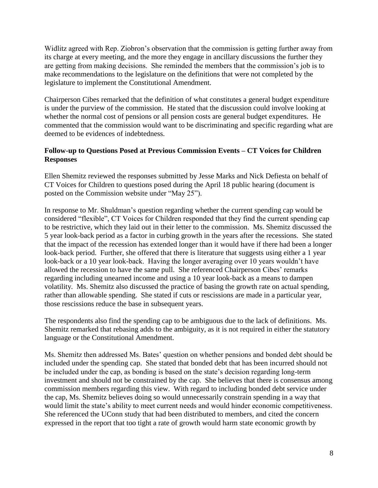Widlitz agreed with Rep. Ziobron's observation that the commission is getting further away from its charge at every meeting, and the more they engage in ancillary discussions the further they are getting from making decisions. She reminded the members that the commission's job is to make recommendations to the legislature on the definitions that were not completed by the legislature to implement the Constitutional Amendment.

Chairperson Cibes remarked that the definition of what constitutes a general budget expenditure is under the purview of the commission. He stated that the discussion could involve looking at whether the normal cost of pensions or all pension costs are general budget expenditures. He commented that the commission would want to be discriminating and specific regarding what are deemed to be evidences of indebtedness.

### **Follow-up to Questions Posed at Previous Commission Events – CT Voices for Children Responses**

Ellen Shemitz reviewed the responses submitted by Jesse Marks and Nick Defiesta on behalf of CT Voices for Children to questions posed during the April 18 public hearing (document is posted on the Commission website under "May 25").

In response to Mr. Shuldman's question regarding whether the current spending cap would be considered "flexible", CT Voices for Children responded that they find the current spending cap to be restrictive, which they laid out in their letter to the commission. Ms. Shemitz discussed the 5 year look-back period as a factor in curbing growth in the years after the recessions. She stated that the impact of the recession has extended longer than it would have if there had been a longer look-back period. Further, she offered that there is literature that suggests using either a 1 year look-back or a 10 year look-back. Having the longer averaging over 10 years wouldn't have allowed the recession to have the same pull. She referenced Chairperson Cibes' remarks regarding including unearned income and using a 10 year look-back as a means to dampen volatility. Ms. Shemitz also discussed the practice of basing the growth rate on actual spending, rather than allowable spending. She stated if cuts or rescissions are made in a particular year, those rescissions reduce the base in subsequent years.

The respondents also find the spending cap to be ambiguous due to the lack of definitions. Ms. Shemitz remarked that rebasing adds to the ambiguity, as it is not required in either the statutory language or the Constitutional Amendment.

Ms. Shemitz then addressed Ms. Bates' question on whether pensions and bonded debt should be included under the spending cap. She stated that bonded debt that has been incurred should not be included under the cap, as bonding is based on the state's decision regarding long-term investment and should not be constrained by the cap. She believes that there is consensus among commission members regarding this view. With regard to including bonded debt service under the cap, Ms. Shemitz believes doing so would unnecessarily constrain spending in a way that would limit the state's ability to meet current needs and would hinder economic competitiveness. She referenced the UConn study that had been distributed to members, and cited the concern expressed in the report that too tight a rate of growth would harm state economic growth by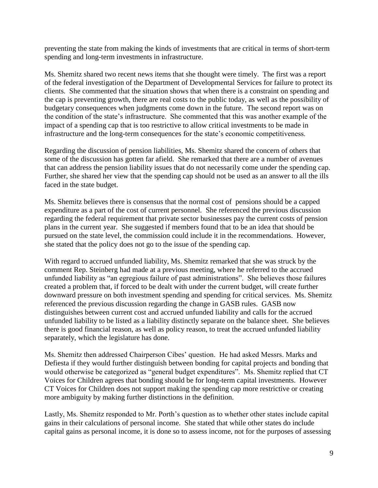preventing the state from making the kinds of investments that are critical in terms of short-term spending and long-term investments in infrastructure.

Ms. Shemitz shared two recent news items that she thought were timely. The first was a report of the federal investigation of the Department of Developmental Services for failure to protect its clients. She commented that the situation shows that when there is a constraint on spending and the cap is preventing growth, there are real costs to the public today, as well as the possibility of budgetary consequences when judgments come down in the future. The second report was on the condition of the state's infrastructure. She commented that this was another example of the impact of a spending cap that is too restrictive to allow critical investments to be made in infrastructure and the long-term consequences for the state's economic competitiveness.

Regarding the discussion of pension liabilities, Ms. Shemitz shared the concern of others that some of the discussion has gotten far afield. She remarked that there are a number of avenues that can address the pension liability issues that do not necessarily come under the spending cap. Further, she shared her view that the spending cap should not be used as an answer to all the ills faced in the state budget.

Ms. Shemitz believes there is consensus that the normal cost of pensions should be a capped expenditure as a part of the cost of current personnel. She referenced the previous discussion regarding the federal requirement that private sector businesses pay the current costs of pension plans in the current year. She suggested if members found that to be an idea that should be pursued on the state level, the commission could include it in the recommendations. However, she stated that the policy does not go to the issue of the spending cap.

With regard to accrued unfunded liability, Ms. Shemitz remarked that she was struck by the comment Rep. Steinberg had made at a previous meeting, where he referred to the accrued unfunded liability as "an egregious failure of past administrations". She believes those failures created a problem that, if forced to be dealt with under the current budget, will create further downward pressure on both investment spending and spending for critical services. Ms. Shemitz referenced the previous discussion regarding the change in GASB rules. GASB now distinguishes between current cost and accrued unfunded liability and calls for the accrued unfunded liability to be listed as a liability distinctly separate on the balance sheet. She believes there is good financial reason, as well as policy reason, to treat the accrued unfunded liability separately, which the legislature has done.

Ms. Shemitz then addressed Chairperson Cibes' question. He had asked Messrs. Marks and Defiesta if they would further distinguish between bonding for capital projects and bonding that would otherwise be categorized as "general budget expenditures". Ms. Shemitz replied that CT Voices for Children agrees that bonding should be for long-term capital investments. However CT Voices for Children does not support making the spending cap more restrictive or creating more ambiguity by making further distinctions in the definition.

Lastly, Ms. Shemitz responded to Mr. Porth's question as to whether other states include capital gains in their calculations of personal income. She stated that while other states do include capital gains as personal income, it is done so to assess income, not for the purposes of assessing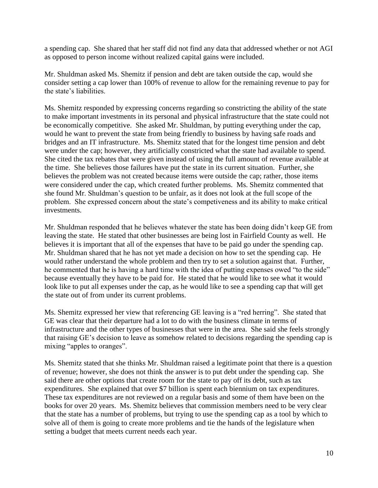a spending cap. She shared that her staff did not find any data that addressed whether or not AGI as opposed to person income without realized capital gains were included.

Mr. Shuldman asked Ms. Shemitz if pension and debt are taken outside the cap, would she consider setting a cap lower than 100% of revenue to allow for the remaining revenue to pay for the state's liabilities.

Ms. Shemitz responded by expressing concerns regarding so constricting the ability of the state to make important investments in its personal and physical infrastructure that the state could not be economically competitive. She asked Mr. Shuldman, by putting everything under the cap, would he want to prevent the state from being friendly to business by having safe roads and bridges and an IT infrastructure. Ms. Shemitz stated that for the longest time pension and debt were under the cap; however, they artificially constricted what the state had available to spend. She cited the tax rebates that were given instead of using the full amount of revenue available at the time. She believes those failures have put the state in its current situation. Further, she believes the problem was not created because items were outside the cap; rather, those items were considered under the cap, which created further problems. Ms. Shemitz commented that she found Mr. Shuldman's question to be unfair, as it does not look at the full scope of the problem. She expressed concern about the state's competiveness and its ability to make critical investments.

Mr. Shuldman responded that he believes whatever the state has been doing didn't keep GE from leaving the state. He stated that other businesses are being lost in Fairfield County as well. He believes it is important that all of the expenses that have to be paid go under the spending cap. Mr. Shuldman shared that he has not yet made a decision on how to set the spending cap. He would rather understand the whole problem and then try to set a solution against that. Further, he commented that he is having a hard time with the idea of putting expenses owed "to the side" because eventually they have to be paid for. He stated that he would like to see what it would look like to put all expenses under the cap, as he would like to see a spending cap that will get the state out of from under its current problems.

Ms. Shemitz expressed her view that referencing GE leaving is a "red herring". She stated that GE was clear that their departure had a lot to do with the business climate in terms of infrastructure and the other types of businesses that were in the area. She said she feels strongly that raising GE's decision to leave as somehow related to decisions regarding the spending cap is mixing "apples to oranges".

Ms. Shemitz stated that she thinks Mr. Shuldman raised a legitimate point that there is a question of revenue; however, she does not think the answer is to put debt under the spending cap. She said there are other options that create room for the state to pay off its debt, such as tax expenditures. She explained that over \$7 billion is spent each biennium on tax expenditures. These tax expenditures are not reviewed on a regular basis and some of them have been on the books for over 20 years. Ms. Shemitz believes that commission members need to be very clear that the state has a number of problems, but trying to use the spending cap as a tool by which to solve all of them is going to create more problems and tie the hands of the legislature when setting a budget that meets current needs each year.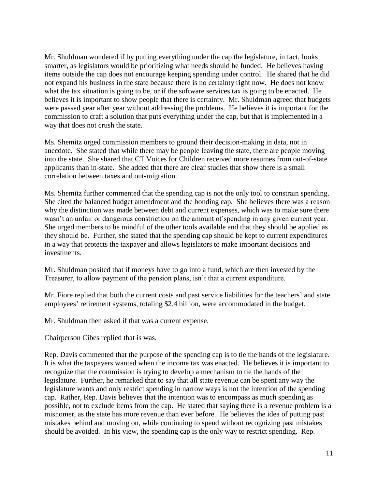Mr. Shuldman wondered if by putting everything under the cap the legislature, in fact, looks smarter, as legislators would be prioritizing what needs should be funded. He believes having items outside the cap does not encourage keeping spending under control. He shared that he did not expand his business in the state because there is no certainty right now. He does not know what the tax situation is going to be, or if the software services tax is going to be enacted. He believes it is important to show people that there is certainty. Mr. Shuldman agreed that budgets were passed year after year without addressing the problems. He believes it is important for the commission to craft a solution that puts everything under the cap, but that is implemented in a way that does not crush the state.

Ms. Shemitz urged commission members to ground their decision-making in data, not in anecdote. She stated that while there may be people leaving the state, there are people moving into the state. She shared that CT Voices for Children received more resumes from out-of-state applicants than in-state. She added that there are clear studies that show there is a small correlation between taxes and out-migration.

Ms. Shemitz further commented that the spending cap is not the only tool to constrain spending. She cited the balanced budget amendment and the bonding cap. She believes there was a reason why the distinction was made between debt and current expenses, which was to make sure there wasn't an unfair or dangerous constriction on the amount of spending in any given current year. She urged members to be mindful of the other tools available and that they should be applied as they should be. Further, she stated that the spending cap should be kept to current expenditures in a way that protects the taxpayer and allows legislators to make important decisions and investments.

Mr. Shuldman posited that if moneys have to go into a fund, which are then invested by the Treasurer, to allow payment of the pension plans, isn't that a current expenditure.

Mr. Fiore replied that both the current costs and past service liabilities for the teachers' and state employees' retirement systems, totaling \$2.4 billion, were accommodated in the budget.

Mr. Shuldman then asked if that was a current expense.

Chairperson Cibes replied that is was.

Rep. Davis commented that the purpose of the spending cap is to tie the hands of the legislature. It is what the taxpayers wanted when the income tax was enacted. He believes it is important to recognize that the commission is trying to develop a mechanism to tie the hands of the legislature. Further, he remarked that to say that all state revenue can be spent any way the legislature wants and only restrict spending in narrow ways is not the intention of the spending cap. Rather, Rep. Davis believes that the intention was to encompass as much spending as possible, not to exclude items from the cap. He stated that saying there is a revenue problem is a misnomer, as the state has more revenue than ever before. He believes the idea of putting past mistakes behind and moving on, while continuing to spend without recognizing past mistakes should be avoided. In his view, the spending cap is the only way to restrict spending. Rep.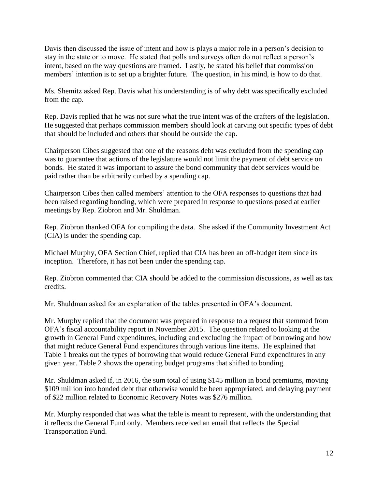Davis then discussed the issue of intent and how is plays a major role in a person's decision to stay in the state or to move. He stated that polls and surveys often do not reflect a person's intent, based on the way questions are framed. Lastly, he stated his belief that commission members' intention is to set up a brighter future. The question, in his mind, is how to do that.

Ms. Shemitz asked Rep. Davis what his understanding is of why debt was specifically excluded from the cap.

Rep. Davis replied that he was not sure what the true intent was of the crafters of the legislation. He suggested that perhaps commission members should look at carving out specific types of debt that should be included and others that should be outside the cap.

Chairperson Cibes suggested that one of the reasons debt was excluded from the spending cap was to guarantee that actions of the legislature would not limit the payment of debt service on bonds. He stated it was important to assure the bond community that debt services would be paid rather than be arbitrarily curbed by a spending cap.

Chairperson Cibes then called members' attention to the OFA responses to questions that had been raised regarding bonding, which were prepared in response to questions posed at earlier meetings by Rep. Ziobron and Mr. Shuldman.

Rep. Ziobron thanked OFA for compiling the data. She asked if the Community Investment Act (CIA) is under the spending cap.

Michael Murphy, OFA Section Chief, replied that CIA has been an off-budget item since its inception. Therefore, it has not been under the spending cap.

Rep. Ziobron commented that CIA should be added to the commission discussions, as well as tax credits.

Mr. Shuldman asked for an explanation of the tables presented in OFA's document.

Mr. Murphy replied that the document was prepared in response to a request that stemmed from OFA's fiscal accountability report in November 2015. The question related to looking at the growth in General Fund expenditures, including and excluding the impact of borrowing and how that might reduce General Fund expenditures through various line items. He explained that Table 1 breaks out the types of borrowing that would reduce General Fund expenditures in any given year. Table 2 shows the operating budget programs that shifted to bonding.

Mr. Shuldman asked if, in 2016, the sum total of using \$145 million in bond premiums, moving \$109 million into bonded debt that otherwise would be been appropriated, and delaying payment of \$22 million related to Economic Recovery Notes was \$276 million.

Mr. Murphy responded that was what the table is meant to represent, with the understanding that it reflects the General Fund only. Members received an email that reflects the Special Transportation Fund.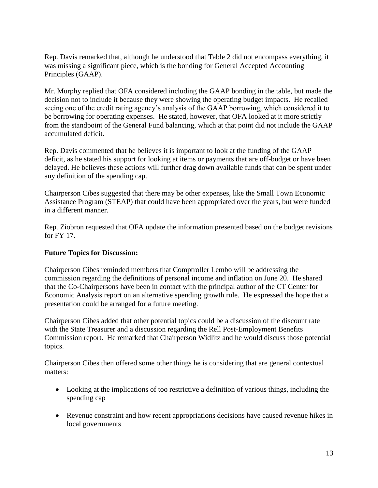Rep. Davis remarked that, although he understood that Table 2 did not encompass everything, it was missing a significant piece, which is the bonding for General Accepted Accounting Principles (GAAP).

Mr. Murphy replied that OFA considered including the GAAP bonding in the table, but made the decision not to include it because they were showing the operating budget impacts. He recalled seeing one of the credit rating agency's analysis of the GAAP borrowing, which considered it to be borrowing for operating expenses. He stated, however, that OFA looked at it more strictly from the standpoint of the General Fund balancing, which at that point did not include the GAAP accumulated deficit.

Rep. Davis commented that he believes it is important to look at the funding of the GAAP deficit, as he stated his support for looking at items or payments that are off-budget or have been delayed. He believes these actions will further drag down available funds that can be spent under any definition of the spending cap.

Chairperson Cibes suggested that there may be other expenses, like the Small Town Economic Assistance Program (STEAP) that could have been appropriated over the years, but were funded in a different manner.

Rep. Ziobron requested that OFA update the information presented based on the budget revisions for FY 17.

## **Future Topics for Discussion:**

Chairperson Cibes reminded members that Comptroller Lembo will be addressing the commission regarding the definitions of personal income and inflation on June 20. He shared that the Co-Chairpersons have been in contact with the principal author of the CT Center for Economic Analysis report on an alternative spending growth rule. He expressed the hope that a presentation could be arranged for a future meeting.

Chairperson Cibes added that other potential topics could be a discussion of the discount rate with the State Treasurer and a discussion regarding the Rell Post-Employment Benefits Commission report. He remarked that Chairperson Widlitz and he would discuss those potential topics.

Chairperson Cibes then offered some other things he is considering that are general contextual matters:

- Looking at the implications of too restrictive a definition of various things, including the spending cap
- Revenue constraint and how recent appropriations decisions have caused revenue hikes in local governments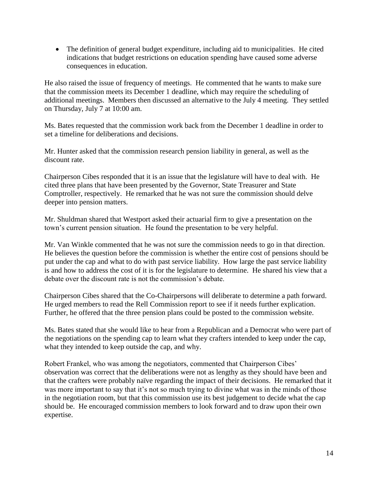The definition of general budget expenditure, including aid to municipalities. He cited indications that budget restrictions on education spending have caused some adverse consequences in education.

He also raised the issue of frequency of meetings. He commented that he wants to make sure that the commission meets its December 1 deadline, which may require the scheduling of additional meetings. Members then discussed an alternative to the July 4 meeting. They settled on Thursday, July 7 at 10:00 am.

Ms. Bates requested that the commission work back from the December 1 deadline in order to set a timeline for deliberations and decisions.

Mr. Hunter asked that the commission research pension liability in general, as well as the discount rate.

Chairperson Cibes responded that it is an issue that the legislature will have to deal with. He cited three plans that have been presented by the Governor, State Treasurer and State Comptroller, respectively. He remarked that he was not sure the commission should delve deeper into pension matters.

Mr. Shuldman shared that Westport asked their actuarial firm to give a presentation on the town's current pension situation. He found the presentation to be very helpful.

Mr. Van Winkle commented that he was not sure the commission needs to go in that direction. He believes the question before the commission is whether the entire cost of pensions should be put under the cap and what to do with past service liability. How large the past service liability is and how to address the cost of it is for the legislature to determine. He shared his view that a debate over the discount rate is not the commission's debate.

Chairperson Cibes shared that the Co-Chairpersons will deliberate to determine a path forward. He urged members to read the Rell Commission report to see if it needs further explication. Further, he offered that the three pension plans could be posted to the commission website.

Ms. Bates stated that she would like to hear from a Republican and a Democrat who were part of the negotiations on the spending cap to learn what they crafters intended to keep under the cap, what they intended to keep outside the cap, and why.

Robert Frankel, who was among the negotiators, commented that Chairperson Cibes' observation was correct that the deliberations were not as lengthy as they should have been and that the crafters were probably naïve regarding the impact of their decisions. He remarked that it was more important to say that it's not so much trying to divine what was in the minds of those in the negotiation room, but that this commission use its best judgement to decide what the cap should be. He encouraged commission members to look forward and to draw upon their own expertise.